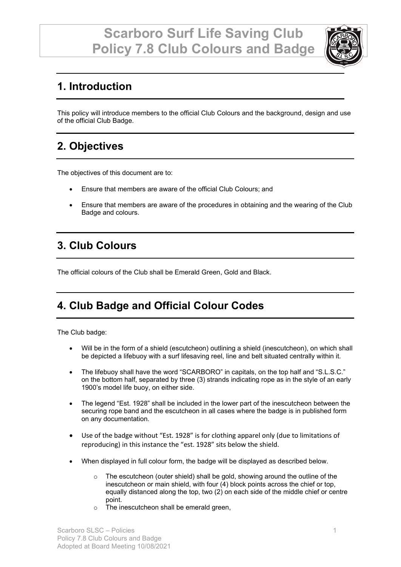

# **1. Introduction**

This policy will introduce members to the official Club Colours and the background, design and use of the official Club Badge.

## **2. Objectives**

The objectives of this document are to:

- Ensure that members are aware of the official Club Colours; and
- Ensure that members are aware of the procedures in obtaining and the wearing of the Club Badge and colours.

## **3. Club Colours**

The official colours of the Club shall be Emerald Green, Gold and Black.

# **4. Club Badge and Official Colour Codes**

The Club badge:

- Will be in the form of a shield (escutcheon) outlining a shield (inescutcheon), on which shall be depicted a lifebuoy with a surf lifesaving reel, line and belt situated centrally within it.
- The lifebuoy shall have the word "SCARBORO" in capitals, on the top half and "S.L.S.C." on the bottom half, separated by three (3) strands indicating rope as in the style of an early 1900's model life buoy, on either side.
- The legend "Est. 1928" shall be included in the lower part of the inescutcheon between the securing rope band and the escutcheon in all cases where the badge is in published form on any documentation.
- Use of the badge without "Est. 1928" is for clothing apparel only (due to limitations of reproducing) in this instance the "est. 1928" sits below the shield.
- When displayed in full colour form, the badge will be displayed as described below.
	- $\circ$  The escutcheon (outer shield) shall be gold, showing around the outline of the inescutcheon or main shield, with four (4) block points across the chief or top, equally distanced along the top, two (2) on each side of the middle chief or centre point.
	- o The inescutcheon shall be emerald green,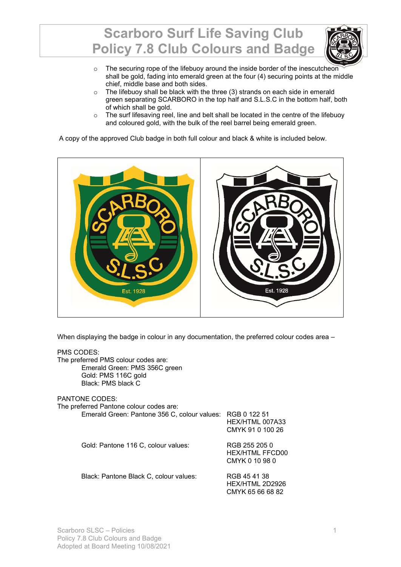

- o The securing rope of the lifebuoy around the inside border of the inescutcheon shall be gold, fading into emerald green at the four (4) securing points at the middle chief, middle base and both sides.
- o The lifebuoy shall be black with the three (3) strands on each side in emerald green separating SCARBORO in the top half and S.L.S.C in the bottom half, both of which shall be gold.
- $\circ$  The surf lifesaving reel, line and belt shall be located in the centre of the lifebuoy and coloured gold, with the bulk of the reel barrel being emerald green.

A copy of the approved Club badge in both full colour and black & white is included below.



When displaying the badge in colour in any documentation, the preferred colour codes area -

| PMS CODES:<br>The preferred PMS colour codes are:<br>Emerald Green: PMS 356C green<br>Gold: PMS 116C gold<br>Black: PMS black C |                                                           |
|---------------------------------------------------------------------------------------------------------------------------------|-----------------------------------------------------------|
| <b>PANTONE CODES:</b><br>The preferred Pantone colour codes are:<br>Emerald Green: Pantone 356 C, colour values: RGB 0 122 51   | HEX/HTML 007A33<br>CMYK 91 0 100 26                       |
| Gold: Pantone 116 C, colour values:                                                                                             | RGB 255 205 0<br><b>HEX/HTML FFCD00</b><br>CMYK 0 10 98 0 |
| Black: Pantone Black C, colour values:                                                                                          | RGB 45 41 38<br>HEX/HTML 2D2926<br>CMYK 65 66 68 82       |